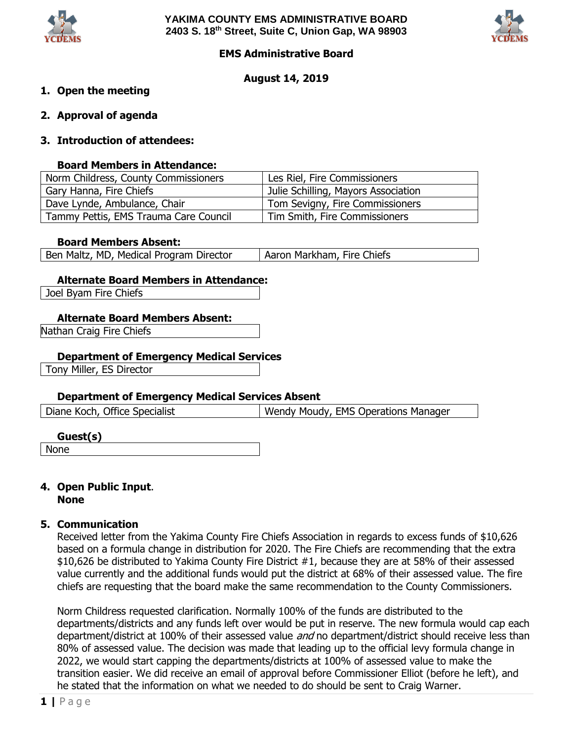



## **EMS Administrative Board**

## **August 14, 2019**

## **1. Open the meeting**

**2. Approval of agenda**

## **3. Introduction of attendees:**

#### **Board Members in Attendance:**

| Norm Childress, County Commissioners  | Les Riel, Fire Commissioners        |
|---------------------------------------|-------------------------------------|
| Gary Hanna, Fire Chiefs               | Julie Schilling, Mayors Association |
| Dave Lynde, Ambulance, Chair          | Tom Sevigny, Fire Commissioners     |
| Tammy Pettis, EMS Trauma Care Council | Tim Smith, Fire Commissioners       |

#### **Board Members Absent:**

| Ben Maltz, MD, Medical Program Director | Aaron Markham, Fire Chiefs |
|-----------------------------------------|----------------------------|
|-----------------------------------------|----------------------------|

## **Alternate Board Members in Attendance:**

Joel Byam Fire Chiefs

## **Alternate Board Members Absent:**

Nathan Craig Fire Chiefs

## **Department of Emergency Medical Services**

Tony Miller, ES Director

#### **Department of Emergency Medical Services Absent**

| Diane Koch, Office Specialist | Wendy Moudy, EMS Operations Manager |
|-------------------------------|-------------------------------------|
|-------------------------------|-------------------------------------|

#### **Guest(s)**

None

#### **4. Open Public Input**. **None**

#### **5. Communication**

Received letter from the Yakima County Fire Chiefs Association in regards to excess funds of \$10,626 based on a formula change in distribution for 2020. The Fire Chiefs are recommending that the extra \$10,626 be distributed to Yakima County Fire District #1, because they are at 58% of their assessed value currently and the additional funds would put the district at 68% of their assessed value. The fire chiefs are requesting that the board make the same recommendation to the County Commissioners.

Norm Childress requested clarification. Normally 100% of the funds are distributed to the departments/districts and any funds left over would be put in reserve. The new formula would cap each department/district at 100% of their assessed value and no department/district should receive less than 80% of assessed value. The decision was made that leading up to the official levy formula change in 2022, we would start capping the departments/districts at 100% of assessed value to make the transition easier. We did receive an email of approval before Commissioner Elliot (before he left), and he stated that the information on what we needed to do should be sent to Craig Warner.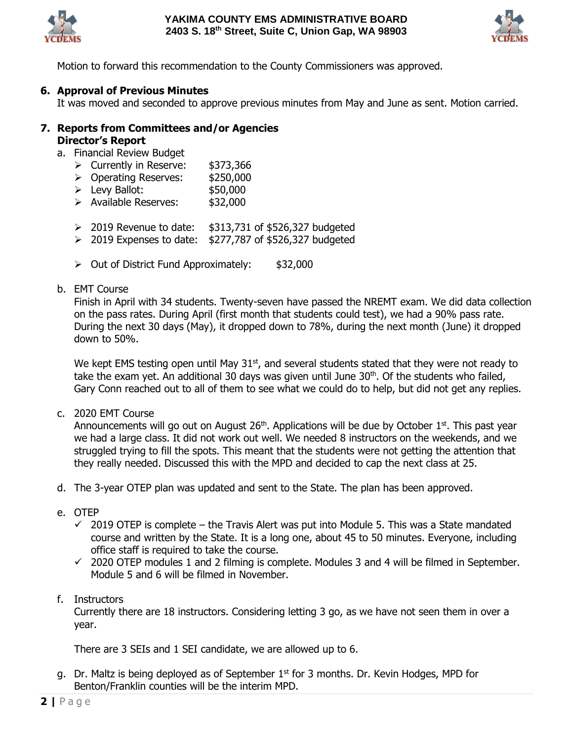



Motion to forward this recommendation to the County Commissioners was approved.

## **6. Approval of Previous Minutes**

It was moved and seconded to approve previous minutes from May and June as sent. Motion carried.

# **7. Reports from Committees and/or Agencies Director's Report**

a. Financial Review Budget

- ▶ Currently in Reserve: \$373,366
- ▶ Operating Reserves: \$250,000
- $\blacktriangleright$  Levy Ballot:  $$50,000$
- > Available Reserves: \$32,000
- $\geq$  2019 Revenue to date:  $$313,731$  of \$526,327 budgeted
- $\geq$  2019 Expenses to date: \$277,787 of \$526,327 budgeted
- $\geq$  Out of District Fund Approximately:  $\frac{1}{2}$  \$32,000

#### b. EMT Course

Finish in April with 34 students. Twenty-seven have passed the NREMT exam. We did data collection on the pass rates. During April (first month that students could test), we had a 90% pass rate. During the next 30 days (May), it dropped down to 78%, during the next month (June) it dropped down to 50%.

We kept EMS testing open until May  $31<sup>st</sup>$ , and several students stated that they were not ready to take the exam yet. An additional 30 days was given until June  $30<sup>th</sup>$ . Of the students who failed, Gary Conn reached out to all of them to see what we could do to help, but did not get any replies.

c. 2020 EMT Course

Announcements will go out on August  $26<sup>th</sup>$ . Applications will be due by October  $1<sup>st</sup>$ . This past year we had a large class. It did not work out well. We needed 8 instructors on the weekends, and we struggled trying to fill the spots. This meant that the students were not getting the attention that they really needed. Discussed this with the MPD and decided to cap the next class at 25.

- d. The 3-year OTEP plan was updated and sent to the State. The plan has been approved.
- e. OTEP
	- $\checkmark$  2019 OTEP is complete the Travis Alert was put into Module 5. This was a State mandated course and written by the State. It is a long one, about 45 to 50 minutes. Everyone, including office staff is required to take the course.
	- $\checkmark$  2020 OTEP modules 1 and 2 filming is complete. Modules 3 and 4 will be filmed in September. Module 5 and 6 will be filmed in November.
- f. Instructors

Currently there are 18 instructors. Considering letting 3 go, as we have not seen them in over a year.

There are 3 SEIs and 1 SEI candidate, we are allowed up to 6.

g. Dr. Maltz is being deployed as of September  $1<sup>st</sup>$  for 3 months. Dr. Kevin Hodges, MPD for Benton/Franklin counties will be the interim MPD.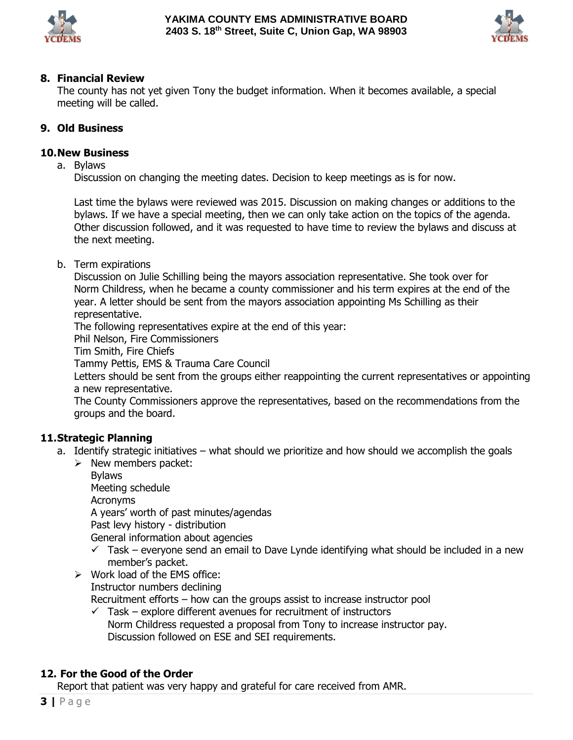



# **8. Financial Review**

The county has not yet given Tony the budget information. When it becomes available, a special meeting will be called.

# **9. Old Business**

# **10.New Business**

a. Bylaws

Discussion on changing the meeting dates. Decision to keep meetings as is for now.

Last time the bylaws were reviewed was 2015. Discussion on making changes or additions to the bylaws. If we have a special meeting, then we can only take action on the topics of the agenda. Other discussion followed, and it was requested to have time to review the bylaws and discuss at the next meeting.

b. Term expirations

Discussion on Julie Schilling being the mayors association representative. She took over for Norm Childress, when he became a county commissioner and his term expires at the end of the year. A letter should be sent from the mayors association appointing Ms Schilling as their representative.

The following representatives expire at the end of this year:

Phil Nelson, Fire Commissioners

Tim Smith, Fire Chiefs

Tammy Pettis, EMS & Trauma Care Council

Letters should be sent from the groups either reappointing the current representatives or appointing a new representative.

The County Commissioners approve the representatives, based on the recommendations from the groups and the board.

# **11.Strategic Planning**

- a. Identify strategic initiatives what should we prioritize and how should we accomplish the goals
	- $\triangleright$  New members packet:

Bylaws Meeting schedule Acronyms A years' worth of past minutes/agendas Past levy history - distribution General information about agencies

- $\checkmark$  Task everyone send an email to Dave Lynde identifying what should be included in a new member's packet.
- $\triangleright$  Work load of the EMS office:

Instructor numbers declining

Recruitment efforts – how can the groups assist to increase instructor pool

 $\checkmark$  Task – explore different avenues for recruitment of instructors Norm Childress requested a proposal from Tony to increase instructor pay. Discussion followed on ESE and SEI requirements.

## **12. For the Good of the Order**

Report that patient was very happy and grateful for care received from AMR.